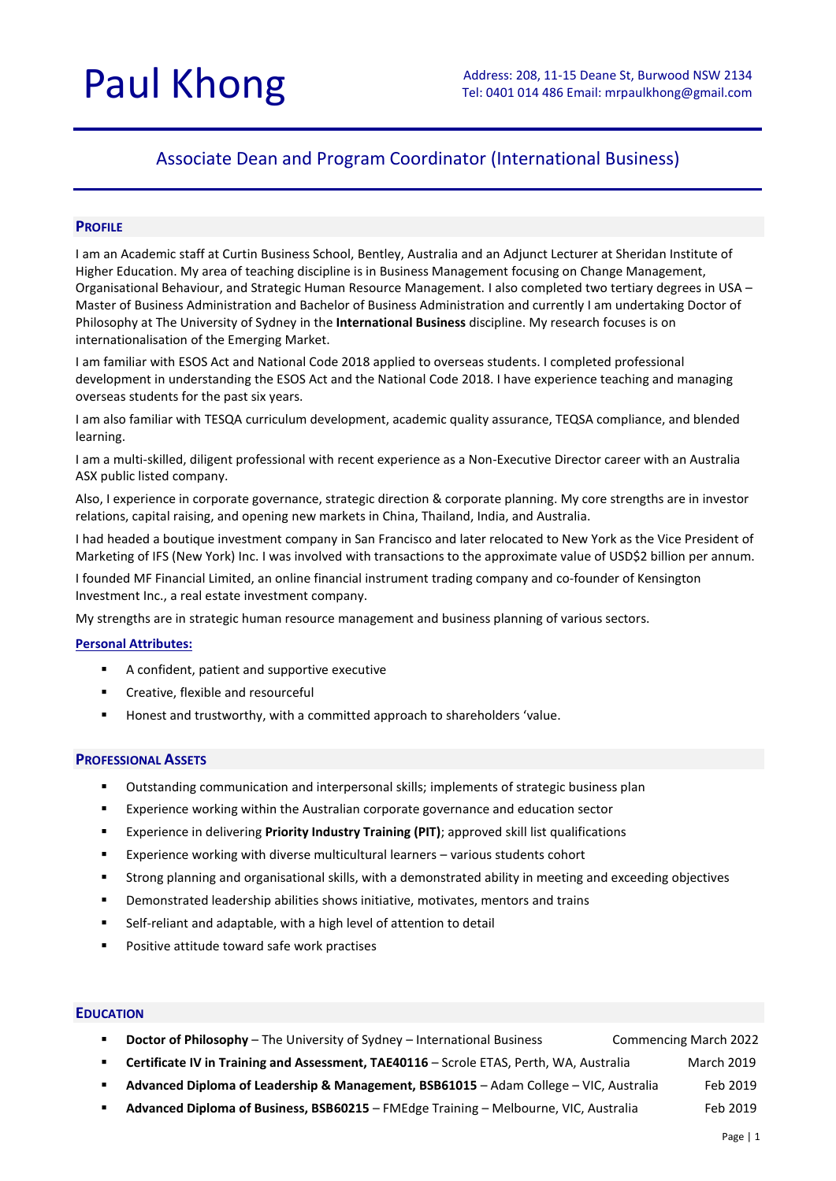# Associate Dean and Program Coordinator (International Business)

# **PROFILE**

I am an Academic staff at Curtin Business School, Bentley, Australia and an Adjunct Lecturer at Sheridan Institute of Higher Education. My area of teaching discipline is in Business Management focusing on Change Management, Organisational Behaviour, and Strategic Human Resource Management. I also completed two tertiary degrees in USA – Master of Business Administration and Bachelor of Business Administration and currently I am undertaking Doctor of Philosophy at The University of Sydney in the **International Business** discipline. My research focuses is on internationalisation of the Emerging Market.

I am familiar with ESOS Act and National Code 2018 applied to overseas students. I completed professional development in understanding the ESOS Act and the National Code 2018. I have experience teaching and managing overseas students for the past six years.

I am also familiar with TESQA curriculum development, academic quality assurance, TEQSA compliance, and blended learning.

I am a multi-skilled, diligent professional with recent experience as a Non-Executive Director career with an Australia ASX public listed company.

Also, I experience in corporate governance, strategic direction & corporate planning. My core strengths are in investor relations, capital raising, and opening new markets in China, Thailand, India, and Australia.

I had headed a boutique investment company in San Francisco and later relocated to New York as the Vice President of Marketing of IFS (New York) Inc. I was involved with transactions to the approximate value of USD\$2 billion per annum.

I founded MF Financial Limited, an online financial instrument trading company and co-founder of Kensington Investment Inc., a real estate investment company.

My strengths are in strategic human resource management and business planning of various sectors.

### **Personal Attributes:**

- A confident, patient and supportive executive
- Creative, flexible and resourceful
- Honest and trustworthy, with a committed approach to shareholders 'value.

# **PROFESSIONAL ASSETS**

- Outstanding communication and interpersonal skills; implements of strategic business plan
- Experience working within the Australian corporate governance and education sector
- Experience in delivering **Priority Industry Training (PIT)**; approved skill list qualifications
- Experience working with diverse multicultural learners various students cohort
- Strong planning and organisational skills, with a demonstrated ability in meeting and exceeding objectives
- Demonstrated leadership abilities shows initiative, motivates, mentors and trains
- Self-reliant and adaptable, with a high level of attention to detail
- Positive attitude toward safe work practises

# **EDUCATION**

- **Doctor of Philosophy** The University of Sydney International Business Commencing March 2022
- **Certificate IV in Training and Assessment, TAE40116** Scrole ETAS, Perth, WA, Australia March 2019
- **Advanced Diploma of Leadership & Management, BSB61015** Adam College VIC, Australia Feb 2019
- **Advanced Diploma of Business, BSB60215** FMEdge Training Melbourne, VIC, Australia Feb 2019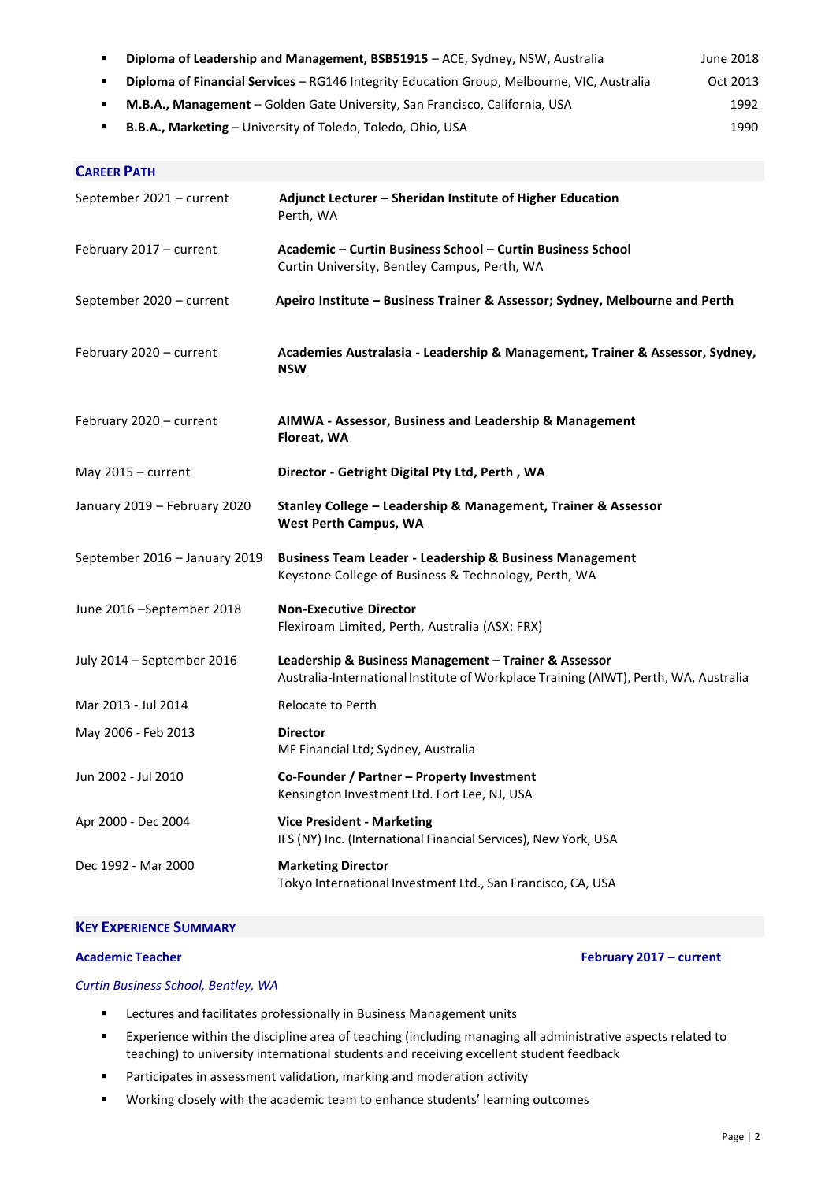| Diploma of Financial Services - RG146 Integrity Education Group, Melbourne, VIC, Australia<br>Oct 2013<br>٠<br>M.B.A., Management - Golden Gate University, San Francisco, California, USA<br>1992<br>٠ |                                                                                                                                               |  |
|---------------------------------------------------------------------------------------------------------------------------------------------------------------------------------------------------------|-----------------------------------------------------------------------------------------------------------------------------------------------|--|
|                                                                                                                                                                                                         |                                                                                                                                               |  |
| <b>CAREER PATH</b>                                                                                                                                                                                      |                                                                                                                                               |  |
| September 2021 - current                                                                                                                                                                                | Adjunct Lecturer - Sheridan Institute of Higher Education<br>Perth, WA                                                                        |  |
| February 2017 - current                                                                                                                                                                                 | Academic - Curtin Business School - Curtin Business School<br>Curtin University, Bentley Campus, Perth, WA                                    |  |
| September 2020 - current                                                                                                                                                                                | Apeiro Institute - Business Trainer & Assessor; Sydney, Melbourne and Perth                                                                   |  |
| February 2020 - current                                                                                                                                                                                 | Academies Australasia - Leadership & Management, Trainer & Assessor, Sydney,<br><b>NSW</b>                                                    |  |
| February 2020 - current                                                                                                                                                                                 | AIMWA - Assessor, Business and Leadership & Management<br>Floreat, WA                                                                         |  |
| May 2015 - current                                                                                                                                                                                      | Director - Getright Digital Pty Ltd, Perth, WA                                                                                                |  |
| January 2019 - February 2020                                                                                                                                                                            | Stanley College - Leadership & Management, Trainer & Assessor<br><b>West Perth Campus, WA</b>                                                 |  |
| September 2016 - January 2019                                                                                                                                                                           | <b>Business Team Leader - Leadership &amp; Business Management</b><br>Keystone College of Business & Technology, Perth, WA                    |  |
| June 2016 - September 2018                                                                                                                                                                              | <b>Non-Executive Director</b><br>Flexiroam Limited, Perth, Australia (ASX: FRX)                                                               |  |
| July 2014 - September 2016                                                                                                                                                                              | Leadership & Business Management - Trainer & Assessor<br>Australia-International Institute of Workplace Training (AIWT), Perth, WA, Australia |  |
| Mar 2013 - Jul 2014                                                                                                                                                                                     | Relocate to Perth                                                                                                                             |  |
| May 2006 - Feb 2013                                                                                                                                                                                     | <b>Director</b><br>MF Financial Ltd; Sydney, Australia                                                                                        |  |
| Jun 2002 - Jul 2010                                                                                                                                                                                     | Co-Founder / Partner - Property Investment<br>Kensington Investment Ltd. Fort Lee, NJ, USA                                                    |  |
| Apr 2000 - Dec 2004                                                                                                                                                                                     | <b>Vice President - Marketing</b><br>IFS (NY) Inc. (International Financial Services), New York, USA                                          |  |
| Dec 1992 - Mar 2000                                                                                                                                                                                     | <b>Marketing Director</b><br>Tokyo International Investment Ltd., San Francisco, CA, USA                                                      |  |

**Diploma of Leadership and Management, BSB51915** – ACE, Sydney, NSW, Australia June 2018

# **KEY EXPERIENCE SUMMARY**

**Academic Teacher February 2017 – current**

# *Curtin Business School, Bentley, WA*

- **EXECTER 19 ELECTER EXECTE 21 Inc.** Lectures and facilitates professionally in Business Management units
- Experience within the discipline area of teaching (including managing all administrative aspects related to teaching) to university international students and receiving excellent student feedback
- Participates in assessment validation, marking and moderation activity
- Working closely with the academic team to enhance students' learning outcomes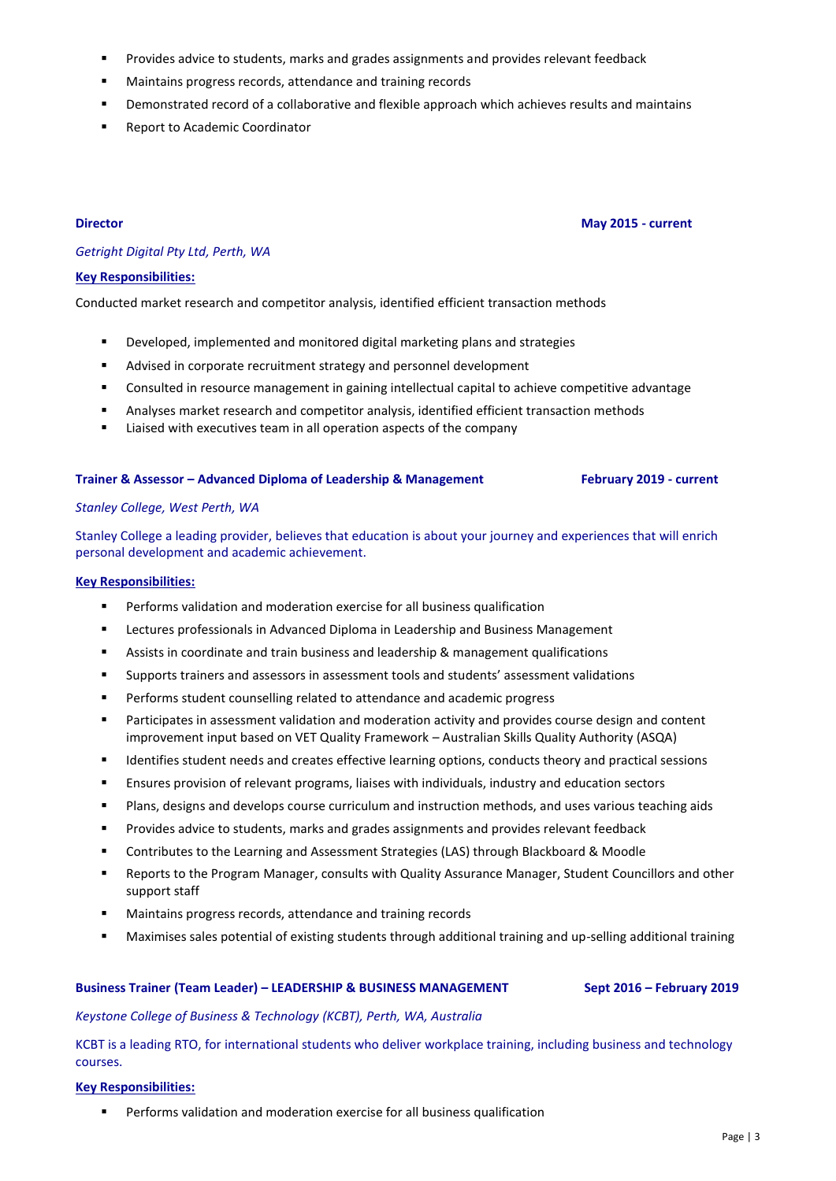- **Provides advice to students, marks and grades assignments and provides relevant feedback**
- Maintains progress records, attendance and training records
- Demonstrated record of a collaborative and flexible approach which achieves results and maintains
- Report to Academic Coordinator

**Director May 2015 - current**

# *Getright Digital Pty Ltd, Perth, WA*

### **Key Responsibilities:**

Conducted market research and competitor analysis, identified efficient transaction methods

- **•** Developed, implemented and monitored digital marketing plans and strategies
- Advised in corporate recruitment strategy and personnel development
- Consulted in resource management in gaining intellectual capital to achieve competitive advantage
- Analyses market research and competitor analysis, identified efficient transaction methods
- **EXECUTE:** Liaised with executives team in all operation aspects of the company

## **Trainer & Assessor – Advanced Diploma of Leadership & Management February 2019 - current**

### *Stanley College, West Perth, WA*

Stanley College a leading provider, believes that education is about your journey and experiences that will enrich personal development and academic achievement.

### **Key Responsibilities:**

- Performs validation and moderation exercise for all business qualification
- Lectures professionals in Advanced Diploma in Leadership and Business Management
- Assists in coordinate and train business and leadership & management qualifications
- Supports trainers and assessors in assessment tools and students' assessment validations
- Performs student counselling related to attendance and academic progress
- Participates in assessment validation and moderation activity and provides course design and content improvement input based on VET Quality Framework – Australian Skills Quality Authority (ASQA)
- **IDENTIFIER 19 IDENTIFIELD STATES IS CONTEX** 1 denotes the prioris, conducts theory and practical sessions
- Ensures provision of relevant programs, liaises with individuals, industry and education sectors
- Plans, designs and develops course curriculum and instruction methods, and uses various teaching aids
- Provides advice to students, marks and grades assignments and provides relevant feedback
- Contributes to the Learning and Assessment Strategies (LAS) through Blackboard & Moodle
- Reports to the Program Manager, consults with Quality Assurance Manager, Student Councillors and other support staff
- Maintains progress records, attendance and training records
- Maximises sales potential of existing students through additional training and up-selling additional training

# **Business Trainer (Team Leader) – LEADERSHIP & BUSINESS MANAGEMENT Sept 2016 – February 2019**

### *Keystone College of Business & Technology (KCBT), Perth, WA, Australia*

KCBT is a leading RTO, for international students who deliver workplace training, including business and technology courses.

### **Key Responsibilities:**

Performs validation and moderation exercise for all business qualification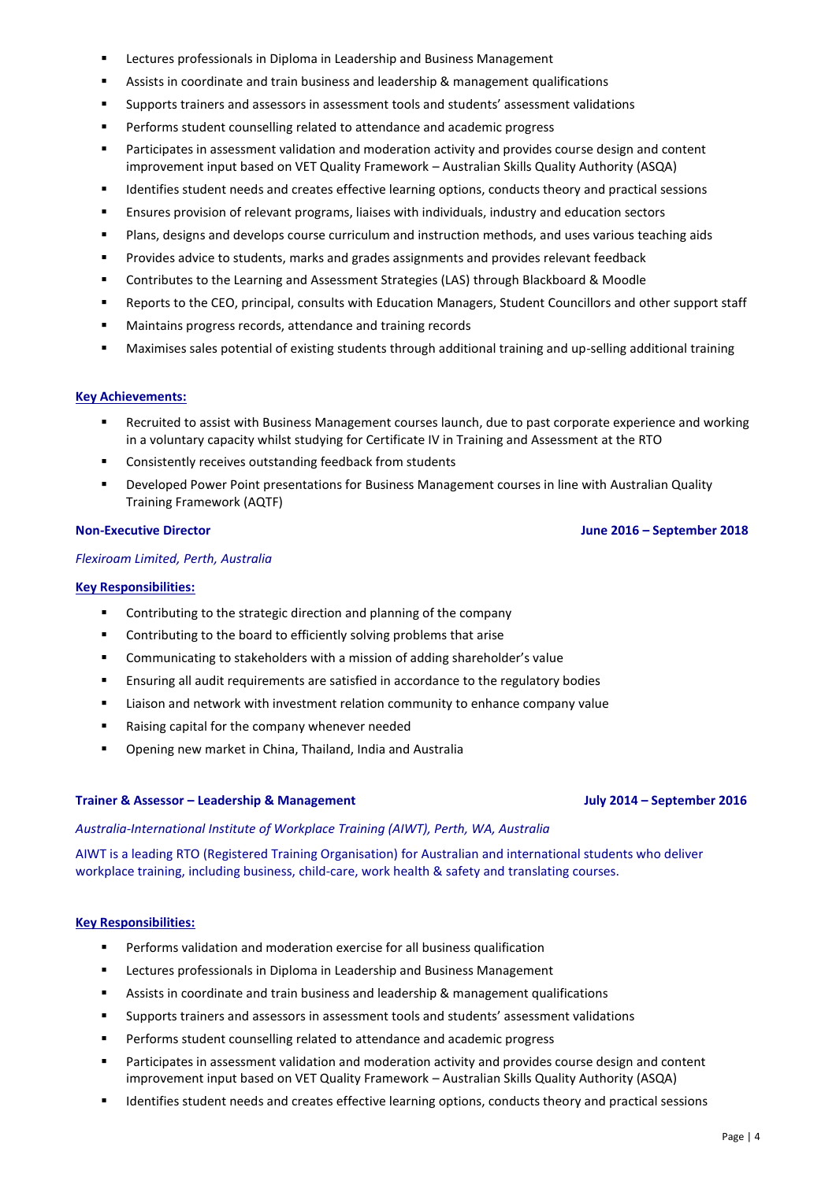- **EXECTE LECTA IS DESCRIPTED MANUS IS A LET ASSET USING MANUS** Lectures professionals in Diploma in Leadership and Business Management
- Assists in coordinate and train business and leadership & management qualifications
- Supports trainers and assessors in assessment tools and students' assessment validations
- Performs student counselling related to attendance and academic progress
- Participates in assessment validation and moderation activity and provides course design and content improvement input based on VET Quality Framework – Australian Skills Quality Authority (ASQA)
- Identifies student needs and creates effective learning options, conducts theory and practical sessions
- Ensures provision of relevant programs, liaises with individuals, industry and education sectors
- Plans, designs and develops course curriculum and instruction methods, and uses various teaching aids
- Provides advice to students, marks and grades assignments and provides relevant feedback
- Contributes to the Learning and Assessment Strategies (LAS) through Blackboard & Moodle
- Reports to the CEO, principal, consults with Education Managers, Student Councillors and other support staff
- Maintains progress records, attendance and training records
- Maximises sales potential of existing students through additional training and up-selling additional training

### **Key Achievements:**

- Recruited to assist with Business Management courses launch, due to past corporate experience and working in a voluntary capacity whilst studying for Certificate IV in Training and Assessment at the RTO
- Consistently receives outstanding feedback from students
- Developed Power Point presentations for Business Management courses in line with Australian Quality Training Framework (AQTF)

### *Flexiroam Limited, Perth, Australia*

#### **Key Responsibilities:**

- **EXECONTERGHTM** Contributing to the strategic direction and planning of the company
- **EXECONTENDED CONTROVER THE CONTROVER THE CONTROVER THE CONTROVER THE CONTROVER THE CONTROVER THE CONTROVER THE CONTROVER THE CONTROVER THE CONTROVER THE CONTROVER THE CONTROVER THE CONTROVER THE CONTROVER THE CONTROVER TH**
- Communicating to stakeholders with a mission of adding shareholder's value
- Ensuring all audit requirements are satisfied in accordance to the regulatory bodies
- Liaison and network with investment relation community to enhance company value
- Raising capital for the company whenever needed
- Opening new market in China, Thailand, India and Australia

### **Trainer & Assessor – Leadership & Management July 2014 – September 2016**

### *Australia-International Institute of Workplace Training (AIWT), Perth, WA, Australia*

AIWT is a leading RTO (Registered Training Organisation) for Australian and international students who deliver workplace training, including business, child-care, work health & safety and translating courses.

### **Key Responsibilities:**

- Performs validation and moderation exercise for all business qualification
- **EXECTER EXECTES 21 EXECTES 21 FIGURE 1** Leadership and Business Management
- Assists in coordinate and train business and leadership & management qualifications
- Supports trainers and assessors in assessment tools and students' assessment validations
- Performs student counselling related to attendance and academic progress
- **Participates in assessment validation and moderation activity and provides course design and content** improvement input based on VET Quality Framework – Australian Skills Quality Authority (ASQA)
- Identifies student needs and creates effective learning options, conducts theory and practical sessions

Page | 4

### **Non-Executive Director June 2016 – September 2018**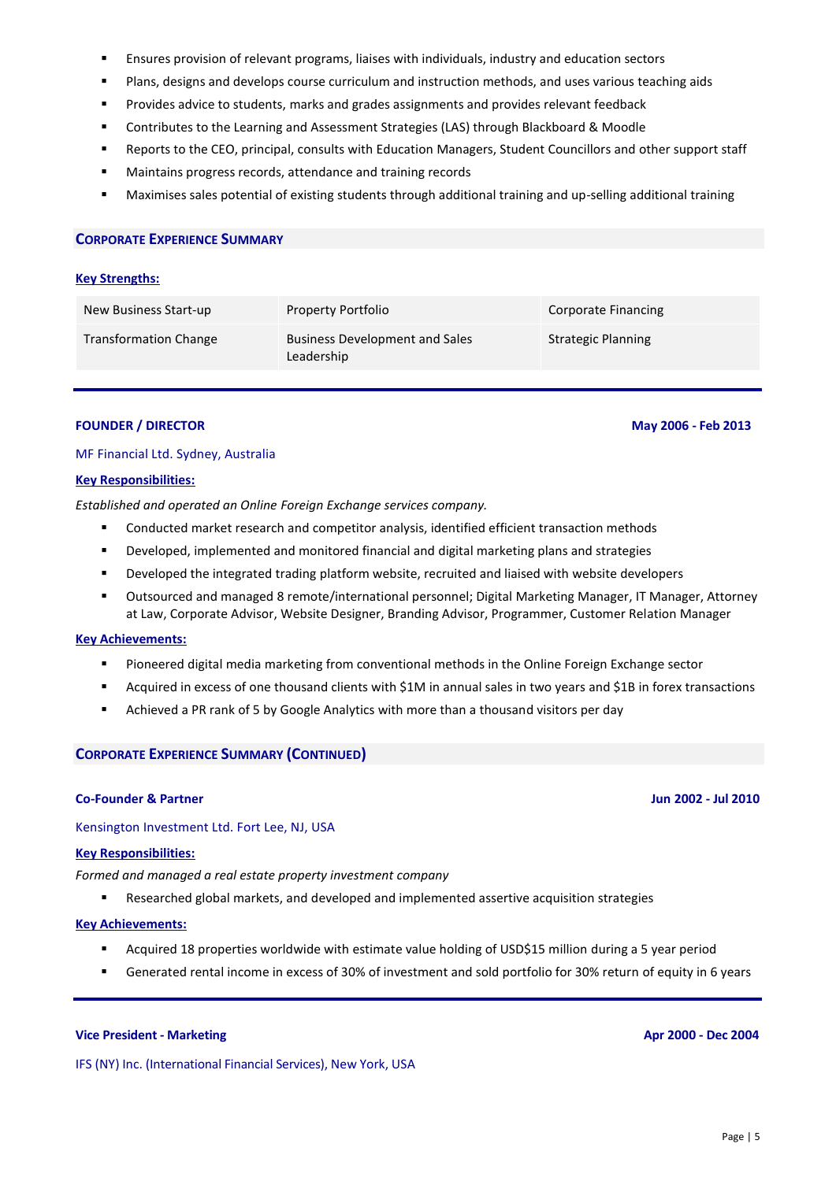- Ensures provision of relevant programs, liaises with individuals, industry and education sectors
- Plans, designs and develops course curriculum and instruction methods, and uses various teaching aids
- Provides advice to students, marks and grades assignments and provides relevant feedback
- Contributes to the Learning and Assessment Strategies (LAS) through Blackboard & Moodle
- Reports to the CEO, principal, consults with Education Managers, Student Councillors and other support staff
- Maintains progress records, attendance and training records
- Maximises sales potential of existing students through additional training and up-selling additional training

#### **CORPORATE EXPERIENCE SUMMARY**

#### **Key Strengths:**

| New Business Start-up        | Property Portfolio                                  | Corporate Financing       |
|------------------------------|-----------------------------------------------------|---------------------------|
| <b>Transformation Change</b> | <b>Business Development and Sales</b><br>Leadership | <b>Strategic Planning</b> |

# **FOUNDER / DIRECTOR May 2006 - Feb 2013**

# MF Financial Ltd. Sydney, Australia

#### **Key Responsibilities:**

*Established and operated an Online Foreign Exchange services company.*

- Conducted market research and competitor analysis, identified efficient transaction methods
- Developed, implemented and monitored financial and digital marketing plans and strategies
- Developed the integrated trading platform website, recruited and liaised with website developers
- Outsourced and managed 8 remote/international personnel; Digital Marketing Manager, IT Manager, Attorney at Law, Corporate Advisor, Website Designer, Branding Advisor, Programmer, Customer Relation Manager

### **Key Achievements:**

- Pioneered digital media marketing from conventional methods in the Online Foreign Exchange sector
- Acquired in excess of one thousand clients with \$1M in annual sales in two years and \$1B in forex transactions
- Achieved a PR rank of 5 by Google Analytics with more than a thousand visitors per day

### **CORPORATE EXPERIENCE SUMMARY (CONTINUED)**

### **Co-Founder & Partner Jun 2002 - Jul 2010**

Kensington Investment Ltd. Fort Lee, NJ, USA

# **Key Responsibilities:**

*Formed and managed a real estate property investment company*

Researched global markets, and developed and implemented assertive acquisition strategies

#### **Key Achievements:**

- Acquired 18 properties worldwide with estimate value holding of USD\$15 million during a 5 year period
- Generated rental income in excess of 30% of investment and sold portfolio for 30% return of equity in 6 years

# **Vice President - Marketing Apr 2000 - Dec 2004**

IFS (NY) Inc. (International Financial Services), New York, USA